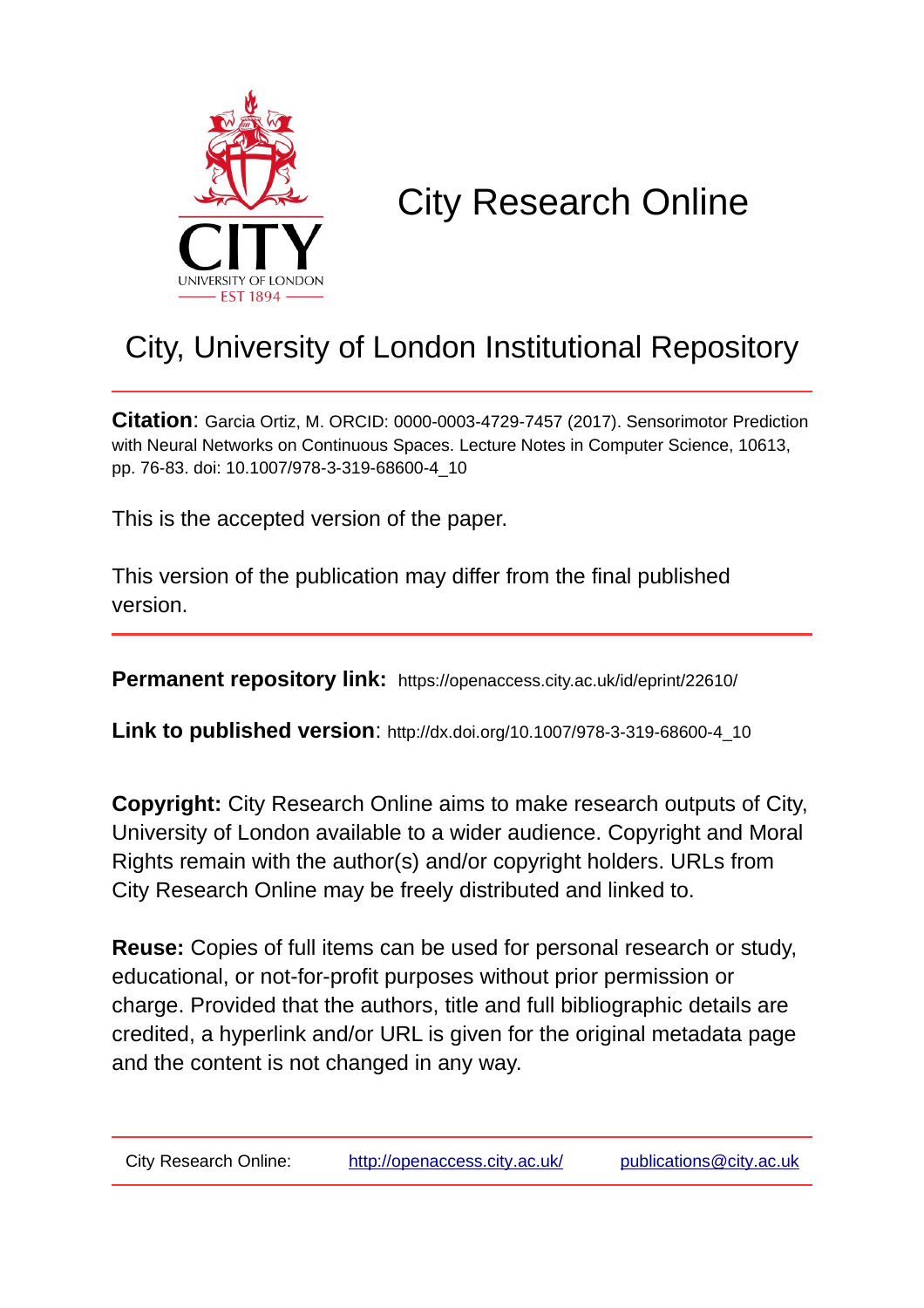

# City Research Online

## City, University of London Institutional Repository

**Citation**: Garcia Ortiz, M. ORCID: 0000-0003-4729-7457 (2017). Sensorimotor Prediction with Neural Networks on Continuous Spaces. Lecture Notes in Computer Science, 10613, pp. 76-83. doi: 10.1007/978-3-319-68600-4\_10

This is the accepted version of the paper.

This version of the publication may differ from the final published version.

**Permanent repository link:** https://openaccess.city.ac.uk/id/eprint/22610/

**Link to published version:** http://dx.doi.org/10.1007/978-3-319-68600-4\_10

**Copyright:** City Research Online aims to make research outputs of City, University of London available to a wider audience. Copyright and Moral Rights remain with the author(s) and/or copyright holders. URLs from City Research Online may be freely distributed and linked to.

**Reuse:** Copies of full items can be used for personal research or study, educational, or not-for-profit purposes without prior permission or charge. Provided that the authors, title and full bibliographic details are credited, a hyperlink and/or URL is given for the original metadata page and the content is not changed in any way.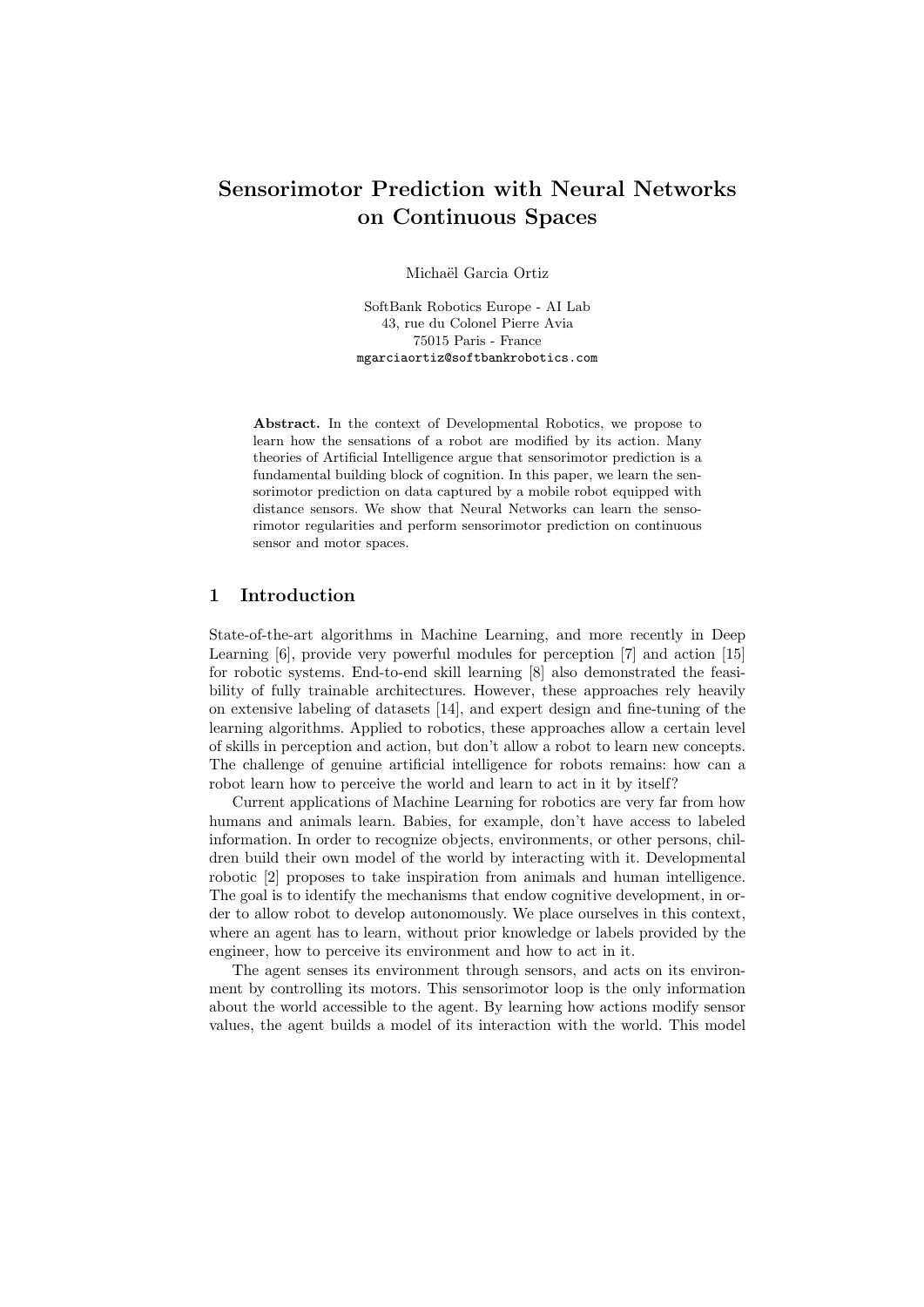### Sensorimotor Prediction with Neural Networks on Continuous Spaces

Michaël Garcia Ortiz

SoftBank Robotics Europe - AI Lab 43, rue du Colonel Pierre Avia 75015 Paris - France mgarciaortiz@softbankrobotics.com

Abstract. In the context of Developmental Robotics, we propose to learn how the sensations of a robot are modified by its action. Many theories of Artificial Intelligence argue that sensorimotor prediction is a fundamental building block of cognition. In this paper, we learn the sensorimotor prediction on data captured by a mobile robot equipped with distance sensors. We show that Neural Networks can learn the sensorimotor regularities and perform sensorimotor prediction on continuous sensor and motor spaces.

#### 1 Introduction

State-of-the-art algorithms in Machine Learning, and more recently in Deep Learning [6], provide very powerful modules for perception [7] and action [15] for robotic systems. End-to-end skill learning [8] also demonstrated the feasibility of fully trainable architectures. However, these approaches rely heavily on extensive labeling of datasets [14], and expert design and fine-tuning of the learning algorithms. Applied to robotics, these approaches allow a certain level of skills in perception and action, but don't allow a robot to learn new concepts. The challenge of genuine artificial intelligence for robots remains: how can a robot learn how to perceive the world and learn to act in it by itself?

Current applications of Machine Learning for robotics are very far from how humans and animals learn. Babies, for example, don't have access to labeled information. In order to recognize objects, environments, or other persons, children build their own model of the world by interacting with it. Developmental robotic [2] proposes to take inspiration from animals and human intelligence. The goal is to identify the mechanisms that endow cognitive development, in order to allow robot to develop autonomously. We place ourselves in this context, where an agent has to learn, without prior knowledge or labels provided by the engineer, how to perceive its environment and how to act in it.

The agent senses its environment through sensors, and acts on its environment by controlling its motors. This sensorimotor loop is the only information about the world accessible to the agent. By learning how actions modify sensor values, the agent builds a model of its interaction with the world. This model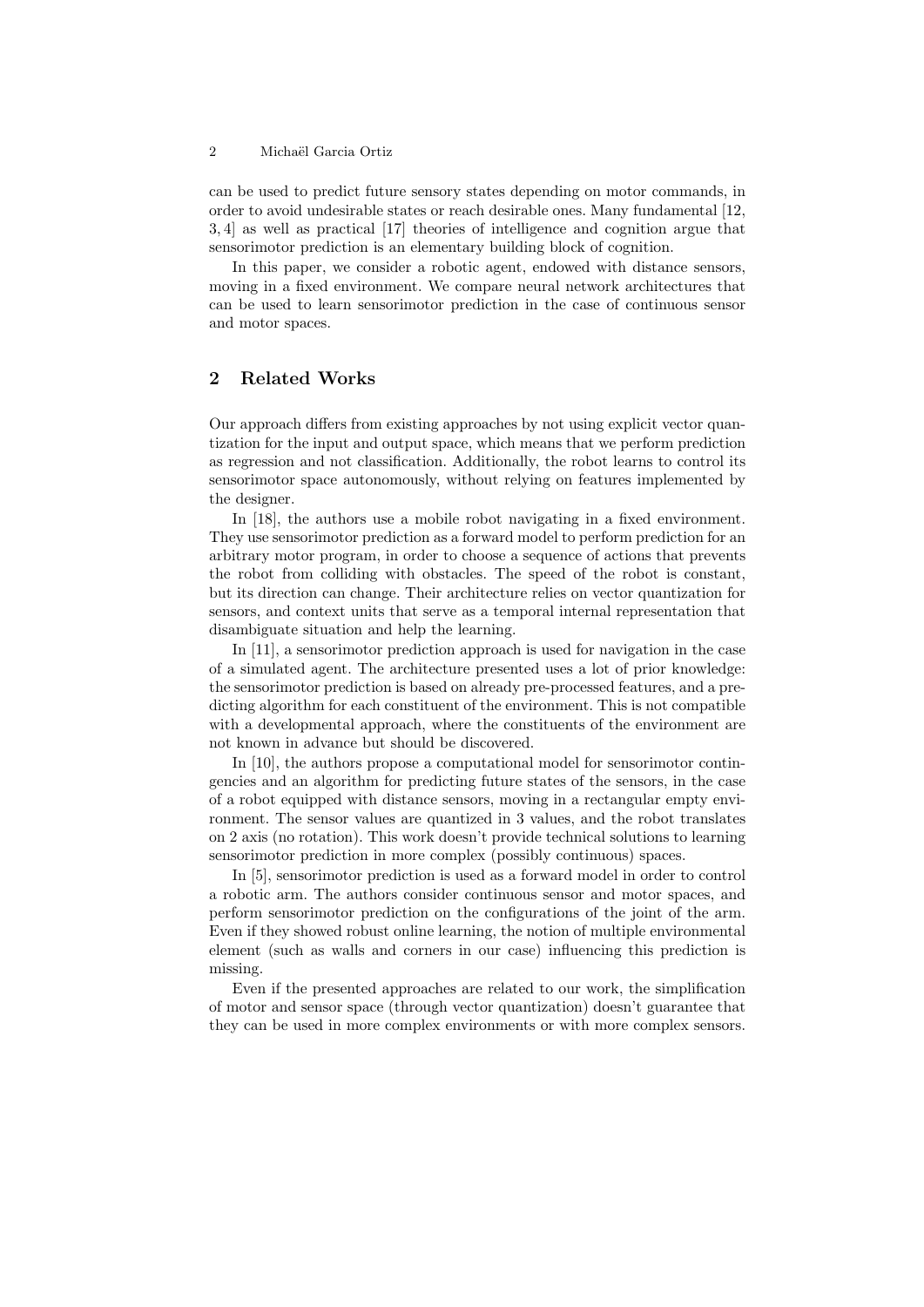can be used to predict future sensory states depending on motor commands, in order to avoid undesirable states or reach desirable ones. Many fundamental [12, 3, 4] as well as practical [17] theories of intelligence and cognition argue that sensorimotor prediction is an elementary building block of cognition.

In this paper, we consider a robotic agent, endowed with distance sensors, moving in a fixed environment. We compare neural network architectures that can be used to learn sensorimotor prediction in the case of continuous sensor and motor spaces.

#### 2 Related Works

Our approach differs from existing approaches by not using explicit vector quantization for the input and output space, which means that we perform prediction as regression and not classification. Additionally, the robot learns to control its sensorimotor space autonomously, without relying on features implemented by the designer.

In [18], the authors use a mobile robot navigating in a fixed environment. They use sensorimotor prediction as a forward model to perform prediction for an arbitrary motor program, in order to choose a sequence of actions that prevents the robot from colliding with obstacles. The speed of the robot is constant, but its direction can change. Their architecture relies on vector quantization for sensors, and context units that serve as a temporal internal representation that disambiguate situation and help the learning.

In [11], a sensorimotor prediction approach is used for navigation in the case of a simulated agent. The architecture presented uses a lot of prior knowledge: the sensorimotor prediction is based on already pre-processed features, and a predicting algorithm for each constituent of the environment. This is not compatible with a developmental approach, where the constituents of the environment are not known in advance but should be discovered.

In [10], the authors propose a computational model for sensorimotor contingencies and an algorithm for predicting future states of the sensors, in the case of a robot equipped with distance sensors, moving in a rectangular empty environment. The sensor values are quantized in 3 values, and the robot translates on 2 axis (no rotation). This work doesn't provide technical solutions to learning sensorimotor prediction in more complex (possibly continuous) spaces.

In [5], sensorimotor prediction is used as a forward model in order to control a robotic arm. The authors consider continuous sensor and motor spaces, and perform sensorimotor prediction on the configurations of the joint of the arm. Even if they showed robust online learning, the notion of multiple environmental element (such as walls and corners in our case) influencing this prediction is missing.

Even if the presented approaches are related to our work, the simplification of motor and sensor space (through vector quantization) doesn't guarantee that they can be used in more complex environments or with more complex sensors.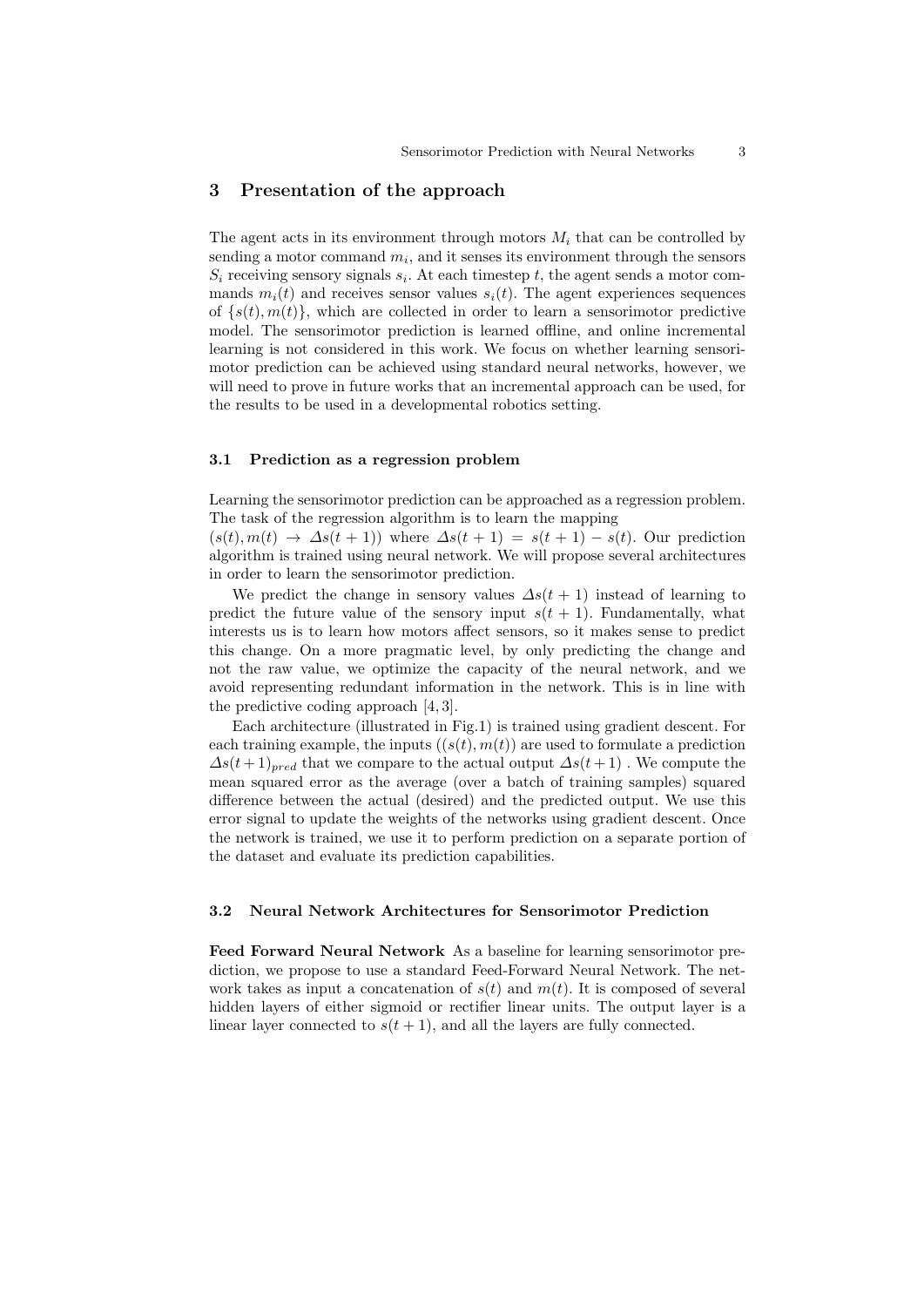#### 3 Presentation of the approach

The agent acts in its environment through motors  $M_i$  that can be controlled by sending a motor command  $m_i$ , and it senses its environment through the sensors  $S_i$  receiving sensory signals  $s_i$ . At each timestep t, the agent sends a motor commands  $m_i(t)$  and receives sensor values  $s_i(t)$ . The agent experiences sequences of  $\{s(t), m(t)\}\)$ , which are collected in order to learn a sensorimotor predictive model. The sensorimotor prediction is learned offline, and online incremental learning is not considered in this work. We focus on whether learning sensorimotor prediction can be achieved using standard neural networks, however, we will need to prove in future works that an incremental approach can be used, for the results to be used in a developmental robotics setting.

#### 3.1 Prediction as a regression problem

Learning the sensorimotor prediction can be approached as a regression problem. The task of the regression algorithm is to learn the mapping

 $(s(t), m(t) \rightarrow \Delta s(t+1))$  where  $\Delta s(t+1) = s(t+1) - s(t)$ . Our prediction algorithm is trained using neural network. We will propose several architectures in order to learn the sensorimotor prediction.

We predict the change in sensory values  $\Delta s(t + 1)$  instead of learning to predict the future value of the sensory input  $s(t + 1)$ . Fundamentally, what interests us is to learn how motors affect sensors, so it makes sense to predict this change. On a more pragmatic level, by only predicting the change and not the raw value, we optimize the capacity of the neural network, and we avoid representing redundant information in the network. This is in line with the predictive coding approach [4, 3].

Each architecture (illustrated in Fig.1) is trained using gradient descent. For each training example, the inputs  $((s(t), m(t))$  are used to formulate a prediction  $\Delta s(t+1)_{pred}$  that we compare to the actual output  $\Delta s(t+1)$ . We compute the mean squared error as the average (over a batch of training samples) squared difference between the actual (desired) and the predicted output. We use this error signal to update the weights of the networks using gradient descent. Once the network is trained, we use it to perform prediction on a separate portion of the dataset and evaluate its prediction capabilities.

#### 3.2 Neural Network Architectures for Sensorimotor Prediction

Feed Forward Neural Network As a baseline for learning sensorimotor prediction, we propose to use a standard Feed-Forward Neural Network. The network takes as input a concatenation of  $s(t)$  and  $m(t)$ . It is composed of several hidden layers of either sigmoid or rectifier linear units. The output layer is a linear layer connected to  $s(t + 1)$ , and all the layers are fully connected.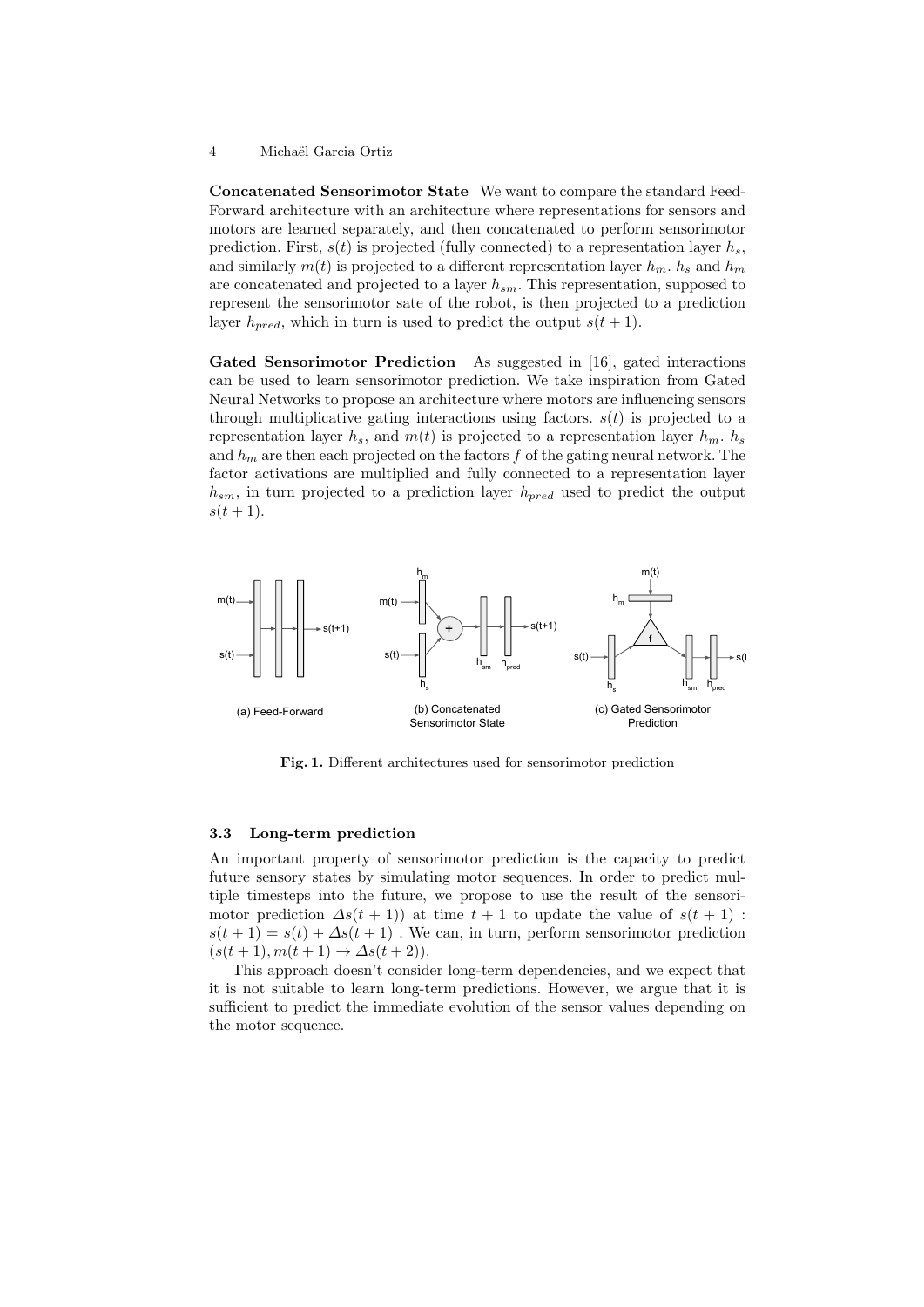Concatenated Sensorimotor State We want to compare the standard Feed-Forward architecture with an architecture where representations for sensors and motors are learned separately, and then concatenated to perform sensorimotor prediction. First,  $s(t)$  is projected (fully connected) to a representation layer  $h_s$ , and similarly  $m(t)$  is projected to a different representation layer  $h_m$ .  $h_s$  and  $h_m$ are concatenated and projected to a layer  $h_{sm}$ . This representation, supposed to represent the sensorimotor sate of the robot, is then projected to a prediction layer  $h_{pred}$ , which in turn is used to predict the output  $s(t + 1)$ .

Gated Sensorimotor Prediction As suggested in [16], gated interactions can be used to learn sensorimotor prediction. We take inspiration from Gated Neural Networks to propose an architecture where motors are influencing sensors through multiplicative gating interactions using factors.  $s(t)$  is projected to a representation layer  $h_s$ , and  $m(t)$  is projected to a representation layer  $h_m$ .  $h_s$ and  $h_m$  are then each projected on the factors f of the gating neural network. The factor activations are multiplied and fully connected to a representation layer  $h_{sm}$ , in turn projected to a prediction layer  $h_{pred}$  used to predict the output  $s(t + 1)$ .



Fig. 1. Different architectures used for sensorimotor prediction

#### 3.3 Long-term prediction

An important property of sensorimotor prediction is the capacity to predict future sensory states by simulating motor sequences. In order to predict multiple timesteps into the future, we propose to use the result of the sensorimotor prediction  $\Delta s(t+1)$  at time  $t+1$  to update the value of  $s(t+1)$ :  $s(t + 1) = s(t) + \Delta s(t + 1)$ . We can, in turn, perform sensorimotor prediction  $(s(t+1), m(t+1) \rightarrow \Delta s(t+2)).$ 

This approach doesn't consider long-term dependencies, and we expect that it is not suitable to learn long-term predictions. However, we argue that it is sufficient to predict the immediate evolution of the sensor values depending on the motor sequence.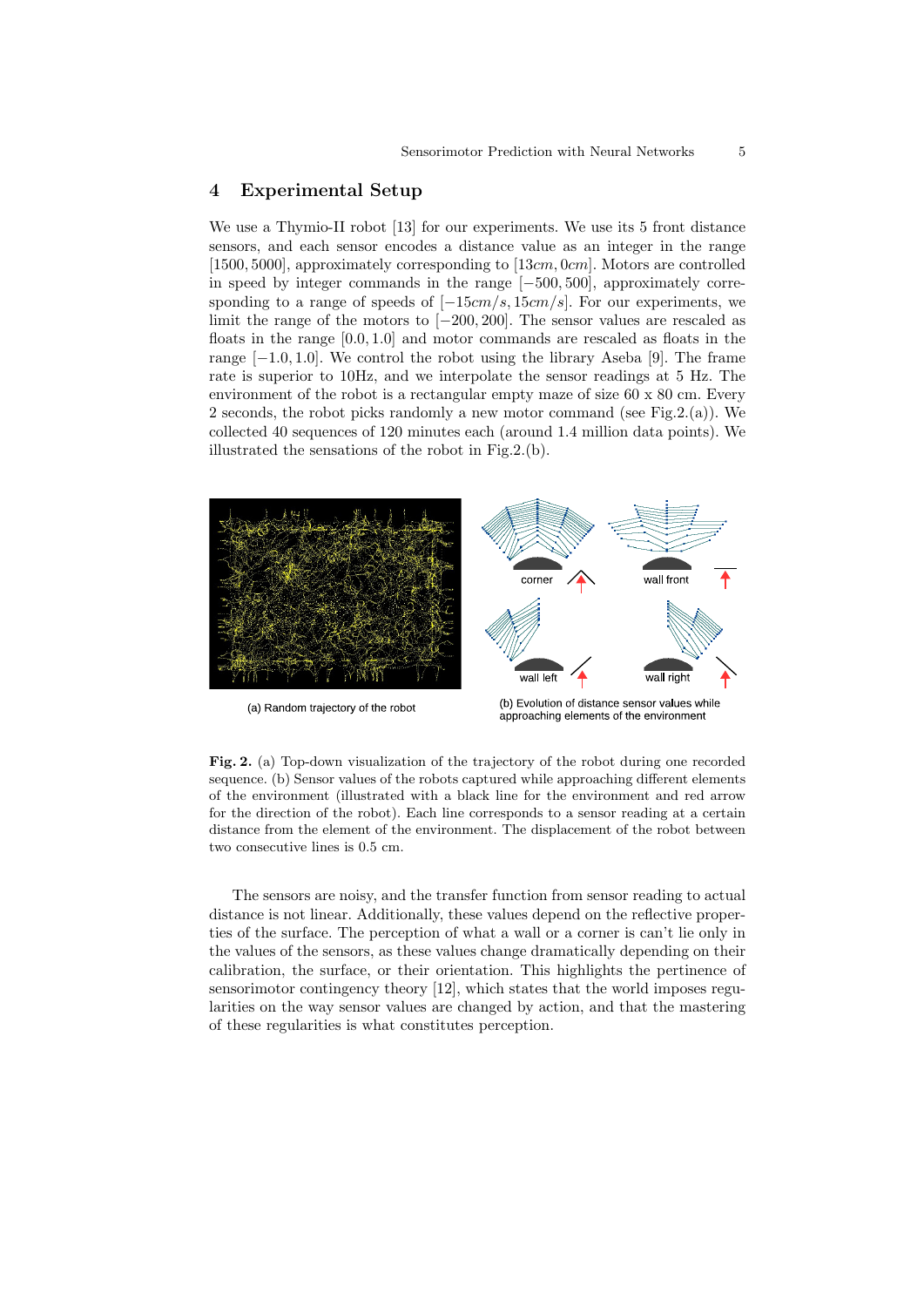#### 4 Experimental Setup

We use a Thymio-II robot [13] for our experiments. We use its 5 front distance sensors, and each sensor encodes a distance value as an integer in the range [1500, 5000], approximately corresponding to [13cm, 0cm]. Motors are controlled in speed by integer commands in the range [−500, 500], approximately corresponding to a range of speeds of  $[-15cm/s, 15cm/s]$ . For our experiments, we limit the range of the motors to [−200, 200]. The sensor values are rescaled as floats in the range [0.0, 1.0] and motor commands are rescaled as floats in the range [−1.0, 1.0]. We control the robot using the library Aseba [9]. The frame rate is superior to 10Hz, and we interpolate the sensor readings at 5 Hz. The environment of the robot is a rectangular empty maze of size 60 x 80 cm. Every 2 seconds, the robot picks randomly a new motor command (see Fig. 2.(a)). We collected 40 sequences of 120 minutes each (around 1.4 million data points). We illustrated the sensations of the robot in Fig.2.(b).



(a) Random trajectory of the robot

(b) Evolution of distance sensor values while approaching elements of the environment

Fig. 2. (a) Top-down visualization of the trajectory of the robot during one recorded sequence. (b) Sensor values of the robots captured while approaching different elements of the environment (illustrated with a black line for the environment and red arrow for the direction of the robot). Each line corresponds to a sensor reading at a certain distance from the element of the environment. The displacement of the robot between two consecutive lines is 0.5 cm.

The sensors are noisy, and the transfer function from sensor reading to actual distance is not linear. Additionally, these values depend on the reflective properties of the surface. The perception of what a wall or a corner is can't lie only in the values of the sensors, as these values change dramatically depending on their calibration, the surface, or their orientation. This highlights the pertinence of sensorimotor contingency theory [12], which states that the world imposes regularities on the way sensor values are changed by action, and that the mastering of these regularities is what constitutes perception.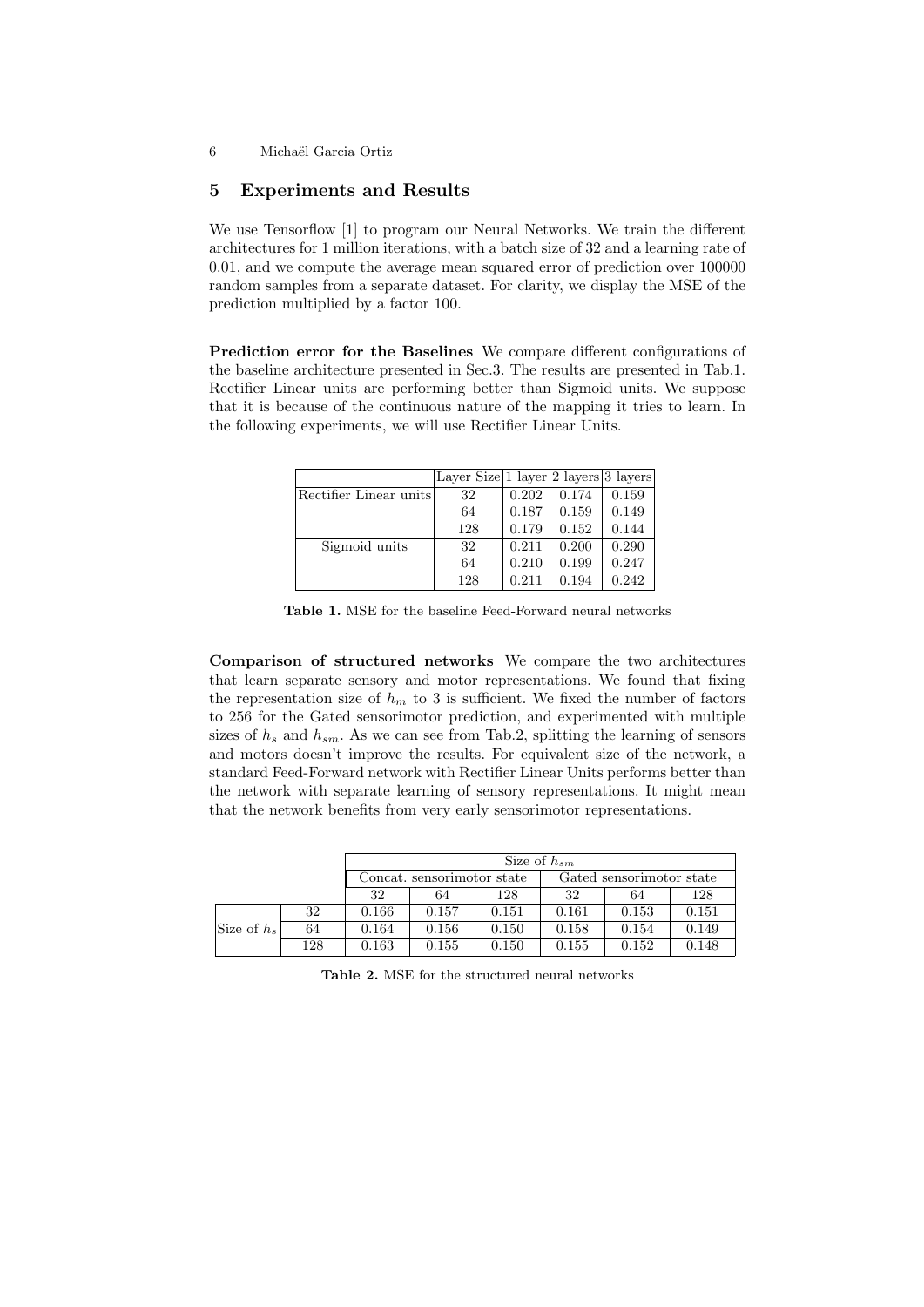#### 5 Experiments and Results

We use Tensorflow [1] to program our Neural Networks. We train the different architectures for 1 million iterations, with a batch size of 32 and a learning rate of 0.01, and we compute the average mean squared error of prediction over 100000 random samples from a separate dataset. For clarity, we display the MSE of the prediction multiplied by a factor 100.

Prediction error for the Baselines We compare different configurations of the baseline architecture presented in Sec.3. The results are presented in Tab.1. Rectifier Linear units are performing better than Sigmoid units. We suppose that it is because of the continuous nature of the mapping it tries to learn. In the following experiments, we will use Rectifier Linear Units.

|                        | Layer Size 1 layer $ 2 \text{ layers} $ layers |       |       |       |
|------------------------|------------------------------------------------|-------|-------|-------|
| Rectifier Linear units | 32                                             | 0.202 | 0.174 | 0.159 |
|                        | 64                                             | 0.187 | 0.159 | 0.149 |
|                        | 128                                            | 0.179 | 0.152 | 0.144 |
| Sigmoid units          | 32                                             | 0.211 | 0.200 | 0.290 |
|                        | 64                                             | 0.210 | 0.199 | 0.247 |
|                        | 128                                            | 0.211 | 0.194 | 0.242 |

Table 1. MSE for the baseline Feed-Forward neural networks

Comparison of structured networks We compare the two architectures that learn separate sensory and motor representations. We found that fixing the representation size of  $h_m$  to 3 is sufficient. We fixed the number of factors to 256 for the Gated sensorimotor prediction, and experimented with multiple sizes of  $h_s$  and  $h_{sm}$ . As we can see from Tab.2, splitting the learning of sensors and motors doesn't improve the results. For equivalent size of the network, a standard Feed-Forward network with Rectifier Linear Units performs better than the network with separate learning of sensory representations. It might mean that the network benefits from very early sensorimotor representations.

|               |     | Size of $h_{sm}$           |       |       |                          |       |       |  |
|---------------|-----|----------------------------|-------|-------|--------------------------|-------|-------|--|
|               |     | Concat. sensorimotor state |       |       | Gated sensorimotor state |       |       |  |
|               |     | 32                         | 64    | 128   | 32                       | 64    | 128   |  |
| Size of $h_s$ | 32  | 0.166                      | 0.157 | 0.151 | 0.161                    | 0.153 | 0.151 |  |
|               | 64  | 0.164                      | 0.156 | 0.150 | 0.158                    | 0.154 | 0.149 |  |
|               | 128 | 0.163                      | 0.155 | 0.150 | 0.155                    | 0.152 | 0.148 |  |

Table 2. MSE for the structured neural networks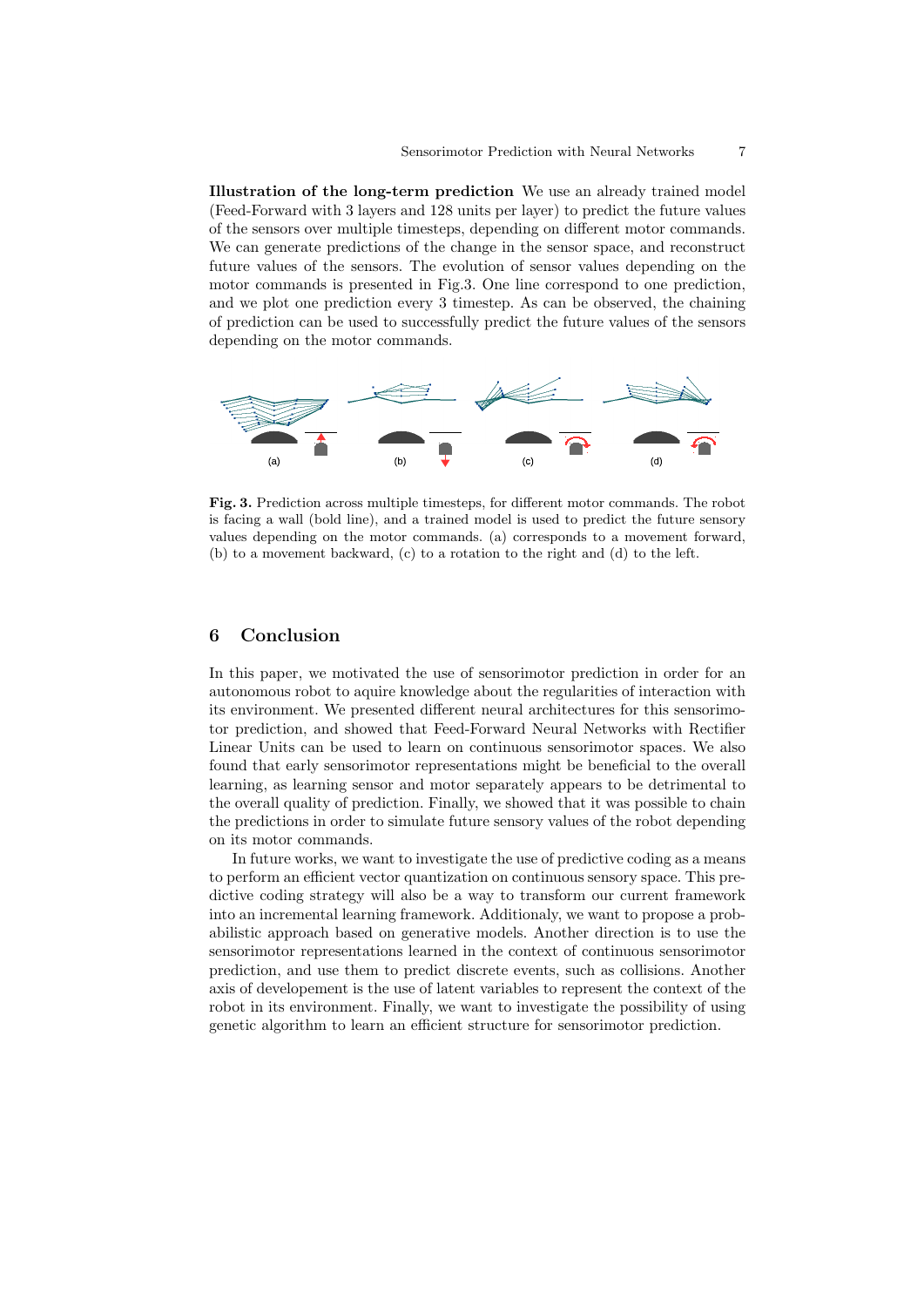Illustration of the long-term prediction We use an already trained model (Feed-Forward with 3 layers and 128 units per layer) to predict the future values of the sensors over multiple timesteps, depending on different motor commands. We can generate predictions of the change in the sensor space, and reconstruct future values of the sensors. The evolution of sensor values depending on the motor commands is presented in Fig.3. One line correspond to one prediction, and we plot one prediction every 3 timestep. As can be observed, the chaining of prediction can be used to successfully predict the future values of the sensors depending on the motor commands.



Fig. 3. Prediction across multiple timesteps, for different motor commands. The robot is facing a wall (bold line), and a trained model is used to predict the future sensory values depending on the motor commands. (a) corresponds to a movement forward, (b) to a movement backward, (c) to a rotation to the right and (d) to the left.

#### 6 Conclusion

In this paper, we motivated the use of sensorimotor prediction in order for an autonomous robot to aquire knowledge about the regularities of interaction with its environment. We presented different neural architectures for this sensorimotor prediction, and showed that Feed-Forward Neural Networks with Rectifier Linear Units can be used to learn on continuous sensorimotor spaces. We also found that early sensorimotor representations might be beneficial to the overall learning, as learning sensor and motor separately appears to be detrimental to the overall quality of prediction. Finally, we showed that it was possible to chain the predictions in order to simulate future sensory values of the robot depending on its motor commands.

In future works, we want to investigate the use of predictive coding as a means to perform an efficient vector quantization on continuous sensory space. This predictive coding strategy will also be a way to transform our current framework into an incremental learning framework. Additionaly, we want to propose a probabilistic approach based on generative models. Another direction is to use the sensorimotor representations learned in the context of continuous sensorimotor prediction, and use them to predict discrete events, such as collisions. Another axis of developement is the use of latent variables to represent the context of the robot in its environment. Finally, we want to investigate the possibility of using genetic algorithm to learn an efficient structure for sensorimotor prediction.